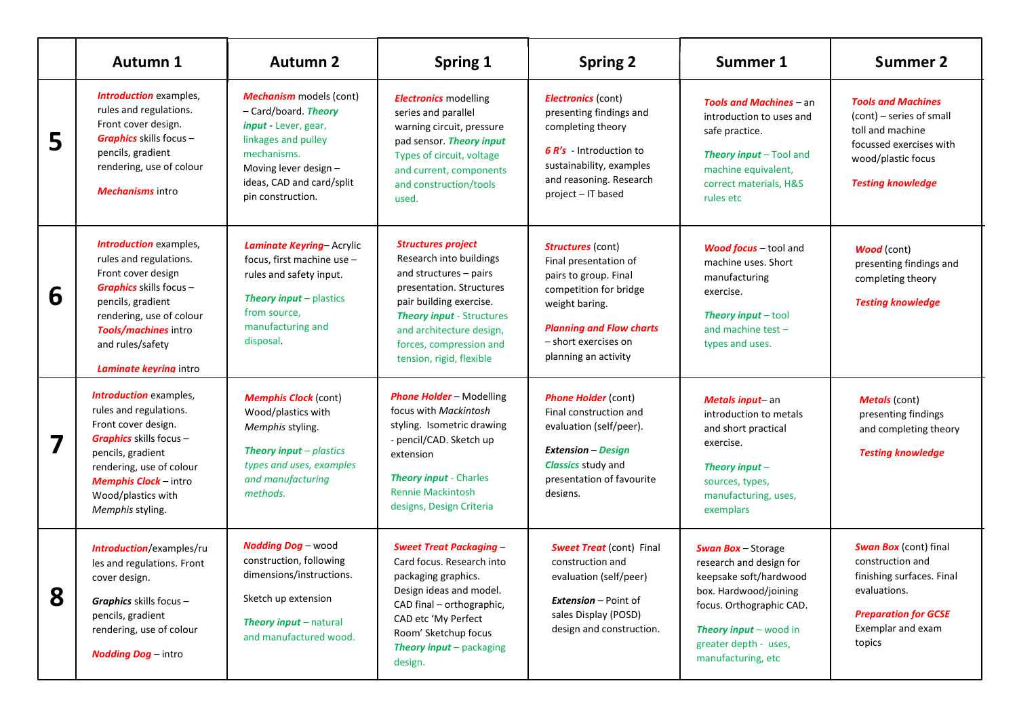|   | Autumn 1                                                                                                                                                                                                                                    | <b>Autumn 2</b>                                                                                                                                                                                 | <b>Spring 1</b>                                                                                                                                                                                                                                              | <b>Spring 2</b>                                                                                                                                                                                           | Summer 1                                                                                                                                                                                                   | <b>Summer 2</b>                                                                                                                                             |
|---|---------------------------------------------------------------------------------------------------------------------------------------------------------------------------------------------------------------------------------------------|-------------------------------------------------------------------------------------------------------------------------------------------------------------------------------------------------|--------------------------------------------------------------------------------------------------------------------------------------------------------------------------------------------------------------------------------------------------------------|-----------------------------------------------------------------------------------------------------------------------------------------------------------------------------------------------------------|------------------------------------------------------------------------------------------------------------------------------------------------------------------------------------------------------------|-------------------------------------------------------------------------------------------------------------------------------------------------------------|
| 5 | <b>Introduction</b> examples,<br>rules and regulations.<br>Front cover design.<br><b>Graphics</b> skills focus -<br>pencils, gradient<br>rendering, use of colour<br><b>Mechanisms</b> intro                                                | <b>Mechanism</b> models (cont)<br>- Card/board. Theory<br>input - Lever, gear,<br>linkages and pulley<br>mechanisms.<br>Moving lever design -<br>ideas, CAD and card/split<br>pin construction. | <b>Electronics</b> modelling<br>series and parallel<br>warning circuit, pressure<br>pad sensor. Theory input<br>Types of circuit, voltage<br>and current, components<br>and construction/tools<br>used.                                                      | <b>Electronics</b> (cont)<br>presenting findings and<br>completing theory<br>6 R's - Introduction to<br>sustainability, examples<br>and reasoning. Research<br>project - IT based                         | <b>Tools and Machines - an</b><br>introduction to uses and<br>safe practice.<br>Theory input - Tool and<br>machine equivalent,<br>correct materials, H&S<br>rules etc                                      | <b>Tools and Machines</b><br>(cont) – series of small<br>toll and machine<br>focussed exercises with<br>wood/plastic focus<br><b>Testing knowledge</b>      |
| 6 | <b>Introduction</b> examples,<br>rules and regulations.<br>Front cover design<br><b>Graphics</b> skills focus -<br>pencils, gradient<br>rendering, use of colour<br>Tools/machines intro<br>and rules/safety<br>Laminate keyring intro      | Laminate Keyring-Acrylic<br>focus, first machine use -<br>rules and safety input.<br><b>Theory input</b> - plastics<br>from source,<br>manufacturing and<br>disposal.                           | <b>Structures project</b><br>Research into buildings<br>and structures - pairs<br>presentation. Structures<br>pair building exercise.<br><b>Theory input - Structures</b><br>and architecture design,<br>forces, compression and<br>tension, rigid, flexible | <b>Structures</b> (cont)<br>Final presentation of<br>pairs to group. Final<br>competition for bridge<br>weight baring.<br><b>Planning and Flow charts</b><br>- short exercises on<br>planning an activity | <b>Wood focus</b> - tool and<br>machine uses. Short<br>manufacturing<br>exercise.<br><b>Theory input</b> $-$ tool<br>and machine test -<br>types and uses.                                                 | <b>Wood</b> (cont)<br>presenting findings and<br>completing theory<br><b>Testing knowledge</b>                                                              |
|   | <b>Introduction</b> examples,<br>rules and regulations.<br>Front cover design.<br><b>Graphics</b> skills focus -<br>pencils, gradient<br>rendering, use of colour<br><b>Memphis Clock</b> - intro<br>Wood/plastics with<br>Memphis styling. | <b>Memphis Clock (cont)</b><br>Wood/plastics with<br>Memphis styling.<br><b>Theory input</b> $-p$ lastics<br>types and uses, examples<br>and manufacturing<br>methods.                          | <b>Phone Holder - Modelling</b><br>focus with Mackintosh<br>styling. Isometric drawing<br>- pencil/CAD. Sketch up<br>extension<br><b>Theory input - Charles</b><br><b>Rennie Mackintosh</b><br>designs, Design Criteria                                      | <b>Phone Holder (cont)</b><br>Final construction and<br>evaluation (self/peer).<br><b>Extension - Design</b><br><b>Classics study and</b><br>presentation of favourite<br>designs.                        | Metals input-an<br>introduction to metals<br>and short practical<br>exercise.<br>Theory input $-$<br>sources, types,<br>manufacturing, uses,<br>exemplars                                                  | <b>Metals</b> (cont)<br>presenting findings<br>and completing theory<br><b>Testing knowledge</b>                                                            |
| 8 | <b>Introduction/examples/ru</b><br>les and regulations. Front<br>cover design.<br><b>Graphics</b> skills focus $-$<br>pencils, gradient<br>rendering, use of colour<br><b>Nodding Dog</b> - intro                                           | <b>Nodding Dog - wood</b><br>construction, following<br>dimensions/instructions.<br>Sketch up extension<br>Theory input - natural<br>and manufactured wood.                                     | <b>Sweet Treat Packaging -</b><br>Card focus. Research into<br>packaging graphics.<br>Design ideas and model.<br>CAD final - orthographic,<br>CAD etc 'My Perfect<br>Room' Sketchup focus<br>Theory input - packaging<br>design.                             | <b>Sweet Treat</b> (cont) Final<br>construction and<br>evaluation (self/peer)<br><b>Extension</b> – Point of<br>sales Display (POSD)<br>design and construction.                                          | <b>Swan Box-Storage</b><br>research and design for<br>keepsake soft/hardwood<br>box. Hardwood/joining<br>focus. Orthographic CAD.<br>Theory input - wood in<br>greater depth - uses,<br>manufacturing, etc | <b>Swan Box</b> (cont) final<br>construction and<br>finishing surfaces. Final<br>evaluations.<br><b>Preparation for GCSE</b><br>Exemplar and exam<br>topics |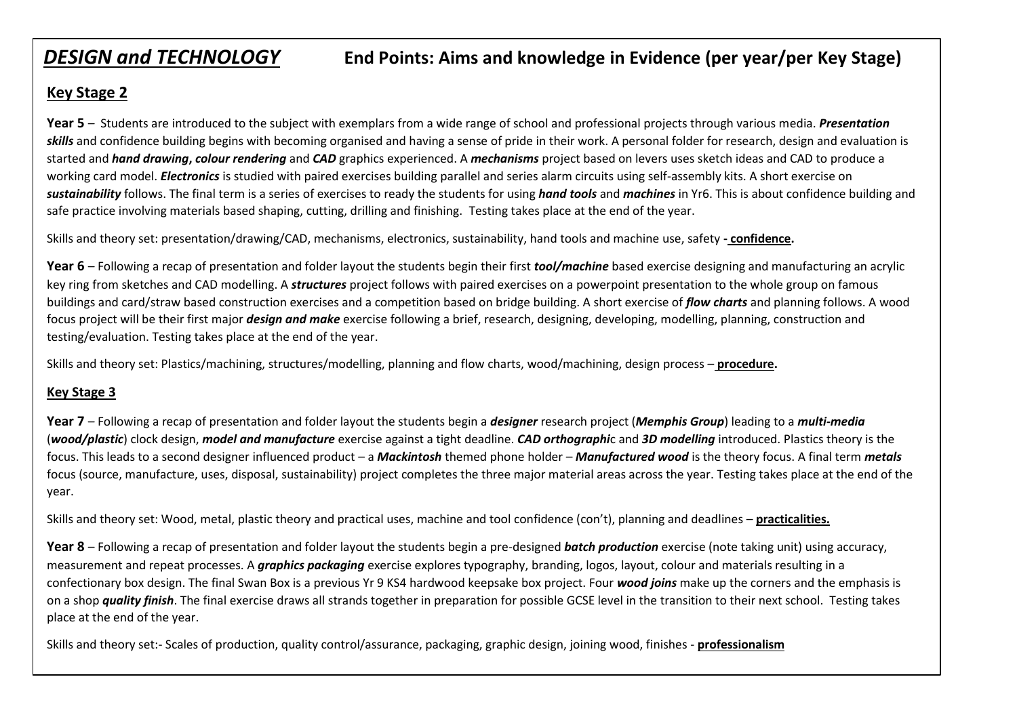# *DESIGN and TECHNOLOGY* **End Points: Aims and knowledge in Evidence (per year/per Key Stage)**

## **Key Stage 2**

**Year 5** – Students are introduced to the subject with exemplars from a wide range of school and professional projects through various media. *Presentation skills* and confidence building begins with becoming organised and having a sense of pride in their work. A personal folder for research, design and evaluation is started and *hand drawing***,** *colour rendering* and *CAD* graphics experienced. A *mechanisms* project based on levers uses sketch ideas and CAD to produce a working card model. *Electronics* is studied with paired exercises building parallel and series alarm circuits using self-assembly kits. A short exercise on *sustainability* follows. The final term is a series of exercises to ready the students for using *hand tools* and *machines* in Yr6. This is about confidence building and safe practice involving materials based shaping, cutting, drilling and finishing. Testing takes place at the end of the year.

Skills and theory set: presentation/drawing/CAD, mechanisms, electronics, sustainability, hand tools and machine use, safety **- confidence.**

**Year 6** – Following a recap of presentation and folder layout the students begin their first *tool/machine* based exercise designing and manufacturing an acrylic key ring from sketches and CAD modelling. A *structures* project follows with paired exercises on a powerpoint presentation to the whole group on famous buildings and card/straw based construction exercises and a competition based on bridge building. A short exercise of *flow charts* and planning follows. A wood focus project will be their first major *design and make* exercise following a brief, research, designing, developing, modelling, planning, construction and testing/evaluation. Testing takes place at the end of the year.

Skills and theory set: Plastics/machining, structures/modelling, planning and flow charts, wood/machining, design process – **procedure.**

#### **Key Stage 3**

**Year 7** – Following a recap of presentation and folder layout the students begin a *designer* research project (*Memphis Group*) leading to a *multi-media* (*wood/plastic*) clock design, *model and manufacture* exercise against a tight deadline. *CAD orthographi*c and *3D modelling* introduced. Plastics theory is the focus. This leads to a second designer influenced product – a *Mackintosh* themed phone holder – *Manufactured wood* is the theory focus. A final term *metals* focus (source, manufacture, uses, disposal, sustainability) project completes the three major material areas across the year. Testing takes place at the end of the year.

Skills and theory set: Wood, metal, plastic theory and practical uses, machine and tool confidence (con't), planning and deadlines – **practicalities.**

**Year 8** – Following a recap of presentation and folder layout the students begin a pre-designed *batch production* exercise (note taking unit) using accuracy, measurement and repeat processes. A *graphics packaging* exercise explores typography, branding, logos, layout, colour and materials resulting in a confectionary box design. The final Swan Box is a previous Yr 9 KS4 hardwood keepsake box project. Four *wood joins* make up the corners and the emphasis is on a shop *quality finish*. The final exercise draws all strands together in preparation for possible GCSE level in the transition to their next school. Testing takes place at the end of the year.

Skills and theory set:- Scales of production, quality control/assurance, packaging, graphic design, joining wood, finishes - **professionalism**